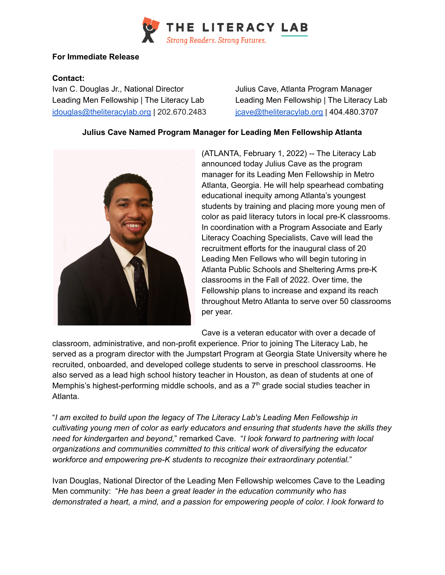

## **For Immediate Release**

## **Contact:**

Ivan C. Douglas Jr., National Director Julius Cave, Atlanta Program Manager Leading Men Fellowship | The Literacy Lab Leading Men Fellowship | The Literacy Lab [idouglas@theliteracylab.org](mailto:idouglas@theliteracylab.org) | 202.670.2483 [jcave@theliteracylab.org](mailto:jcave@theliteracylab.org) | 404.480.3707

## **Julius Cave Named Program Manager for Leading Men Fellowship Atlanta**



(ATLANTA, February 1, 2022) -- The Literacy Lab announced today Julius Cave as the program manager for its Leading Men Fellowship in Metro Atlanta, Georgia. He will help spearhead combating educational inequity among Atlanta's youngest students by training and placing more young men of color as paid literacy tutors in local pre-K classrooms. In coordination with a Program Associate and Early Literacy Coaching Specialists, Cave will lead the recruitment efforts for the inaugural class of 20 Leading Men Fellows who will begin tutoring in Atlanta Public Schools and Sheltering Arms pre-K classrooms in the Fall of 2022. Over time, the Fellowship plans to increase and expand its reach throughout Metro Atlanta to serve over 50 classrooms per year.

Cave is a veteran educator with over a decade of

classroom, administrative, and non-profit experience. Prior to joining The Literacy Lab, he served as a program director with the Jumpstart Program at Georgia State University where he recruited, onboarded, and developed college students to serve in preschool classrooms. He also served as a lead high school history teacher in Houston, as dean of students at one of Memphis's highest-performing middle schools, and as a  $7<sup>th</sup>$  grade social studies teacher in Atlanta.

"*I am excited to build upon the legacy of The Literacy Lab's Leading Men Fellowship in cultivating young men of color as early educators and ensuring that students have the skills they need for kindergarten and beyond,*" remarked Cave. "*I look forward to partnering with local organizations and communities committed to this critical work of diversifying the educator workforce and empowering pre-K students to recognize their extraordinary potential.*"

Ivan Douglas, National Director of the Leading Men Fellowship welcomes Cave to the Leading Men community: "*He has been a great leader in the education community who has demonstrated a heart, a mind, and a passion for empowering people of color. I look forward to*